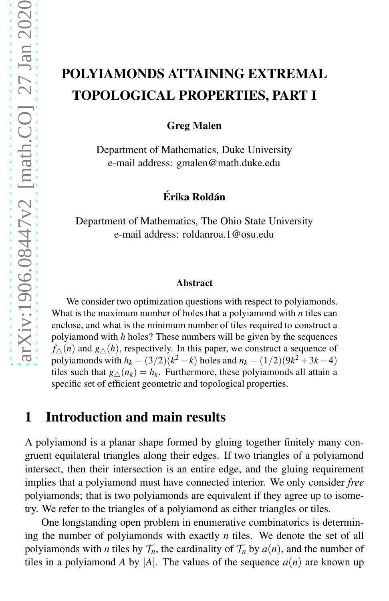# POLYIAMONDS ATTAINING EXTREMAL TOPOLOGICAL PROPERTIES, PART I

Greg Malen

Department of Mathematics, Duke University e-mail address: gmalen@math.duke.edu

#### Érika Roldán

Department of Mathematics, The Ohio State University e-mail address: roldanroa.1@osu.edu

#### Abstract

We consider two optimization questions with respect to polyiamonds. What is the maximum number of holes that a polyiamond with *n* tiles can enclose, and what is the minimum number of tiles required to construct a polyiamond with *h* holes? These numbers will be given by the sequences  $f_{\Delta}(n)$  and  $g_{\Delta}(h)$ , respectively. In this paper, we construct a sequence of polyiamonds with  $h_k = (3/2)(k^2 - k)$  holes and  $n_k = (1/2)(9k^2 + 3k - 4)$ tiles such that  $g_{\triangle}(n_k) = h_k$ . Furthermore, these polyiamonds all attain a specific set of efficient geometric and topological properties.

### 1 Introduction and main results

A polyiamond is a planar shape formed by gluing together finitely many congruent equilateral triangles along their edges. If two triangles of a polyiamond intersect, then their intersection is an entire edge, and the gluing requirement implies that a polyiamond must have connected interior. We only consider *free* polyiamonds; that is two polyiamonds are equivalent if they agree up to isometry. We refer to the triangles of a polyiamond as either triangles or tiles.

One longstanding open problem in enumerative combinatorics is determining the number of polyiamonds with exactly *n* tiles. We denote the set of all polyiamonds with *n* tiles by  $\mathcal{T}_n$ , the cardinality of  $\mathcal{T}_n$  by  $a(n)$ , and the number of tiles in a polyiamond *A* by |*A*|. The values of the sequence  $a(n)$  are known up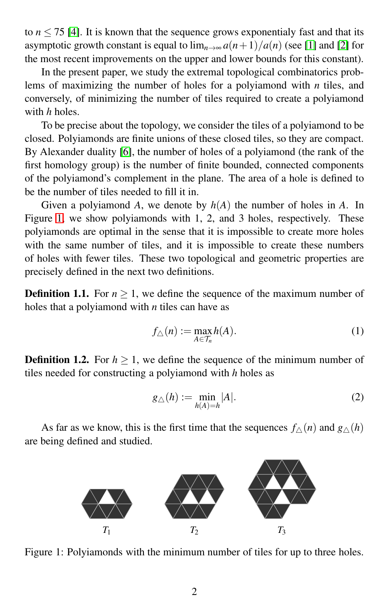to  $n \le 75$  [\[4\]](#page-10-0). It is known that the sequence grows exponentialy fast and that its asymptotic growth constant is equal to  $\lim_{n\to\infty} a(n+1)/a(n)$  (see [\[1\]](#page-10-1) and [\[2\]](#page-10-2) for the most recent improvements on the upper and lower bounds for this constant).

In the present paper, we study the extremal topological combinatorics problems of maximizing the number of holes for a polyiamond with *n* tiles, and conversely, of minimizing the number of tiles required to create a polyiamond with *h* holes.

To be precise about the topology, we consider the tiles of a polyiamond to be closed. Polyiamonds are finite unions of these closed tiles, so they are compact. By Alexander duality [\[6\]](#page-10-3), the number of holes of a polyiamond (the rank of the first homology group) is the number of finite bounded, connected components of the polyiamond's complement in the plane. The area of a hole is defined to be the number of tiles needed to fill it in.

Given a polyiamond *A*, we denote by *h*(*A*) the number of holes in *A*. In Figure [1,](#page-1-0) we show polyiamonds with 1, 2, and 3 holes, respectively. These polyiamonds are optimal in the sense that it is impossible to create more holes with the same number of tiles, and it is impossible to create these numbers of holes with fewer tiles. These two topological and geometric properties are precisely defined in the next two definitions.

**Definition 1.1.** For  $n \geq 1$ , we define the sequence of the maximum number of holes that a polyiamond with *n* tiles can have as

$$
f_{\triangle}(n) := \max_{A \in \mathcal{T}_n} h(A). \tag{1}
$$

**Definition 1.2.** For  $h > 1$ , we define the sequence of the minimum number of tiles needed for constructing a polyiamond with *h* holes as

$$
g_{\triangle}(h) := \min_{h(A) = h} |A|.
$$
 (2)

<span id="page-1-0"></span>As far as we know, this is the first time that the sequences  $f_{\wedge}(n)$  and  $g_{\wedge}(h)$ are being defined and studied.



Figure 1: Polyiamonds with the minimum number of tiles for up to three holes.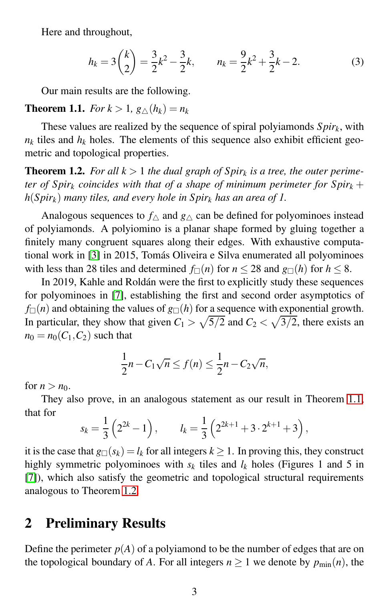Here and throughout,

<span id="page-2-2"></span>
$$
h_k = 3\binom{k}{2} = \frac{3}{2}k^2 - \frac{3}{2}k, \qquad n_k = \frac{9}{2}k^2 + \frac{3}{2}k - 2. \tag{3}
$$

Our main results are the following.

#### <span id="page-2-0"></span>**Theorem 1.1.** *For*  $k > 1$ ,  $g \wedge (h_k) = n_k$

These values are realized by the sequence of spiral polyiamonds *Spirk*, with  $n_k$  tiles and  $h_k$  holes. The elements of this sequence also exhibit efficient geometric and topological properties.

<span id="page-2-1"></span>**Theorem 1.2.** For all  $k > 1$  the dual graph of  $Spir_k$  is a tree, the outer perime*ter of Spir<sub>k</sub> coincides with that of a shape of minimum perimeter for Spir<sub>k</sub> + h*(*Spir<sup>k</sup>* ) *many tiles, and every hole in Spir<sup>k</sup> has an area of 1.*

Analogous sequences to  $f_\wedge$  and  $g_\wedge$  can be defined for polyominoes instead of polyiamonds. A polyiomino is a planar shape formed by gluing together a finitely many congruent squares along their edges. With exhaustive computa-tional work in [\[3\]](#page-10-4) in 2015, Tomás Oliveira e Silva enumerated all polyominoes with less than 28 tiles and determined  $f_{\Box}(n)$  for  $n \le 28$  and  $g_{\Box}(h)$  for  $h \le 8$ .

In 2019, Kahle and Roldán were the first to explicitly study these sequences for polyominoes in [\[7\]](#page-10-5), establishing the first and second order asymptotics of  $f_{\Box}(n)$  and obtaining the values of  $g_{\Box}(h)$  for a sequence with exponential growth. In particular, they show that given  $C_1 > \sqrt{5/2}$  and  $C_2 < \sqrt{3/2}$ , there exists an  $n_0 = n_0(C_1, C_2)$  such that

$$
\frac{1}{2}n - C_1\sqrt{n} \le f(n) \le \frac{1}{2}n - C_2\sqrt{n},
$$

for  $n > n_0$ .

They also prove, in an analogous statement as our result in Theorem [1.1,](#page-2-0) that for

$$
s_k = \frac{1}{3} (2^{2k} - 1),
$$
  $l_k = \frac{1}{3} (2^{2k+1} + 3 \cdot 2^{k+1} + 3),$ 

it is the case that  $g_{\Box}(s_k) = l_k$  for all integers  $k \geq 1$ . In proving this, they construct highly symmetric polyominoes with  $s_k$  tiles and  $l_k$  holes (Figures 1 and 5 in [\[7\]](#page-10-5)), which also satisfy the geometric and topological structural requirements analogous to Theorem [1.2.](#page-2-1)

## 2 Preliminary Results

Define the perimeter  $p(A)$  of a polyiamond to be the number of edges that are on the topological boundary of *A*. For all integers  $n \ge 1$  we denote by  $p_{\min}(n)$ , the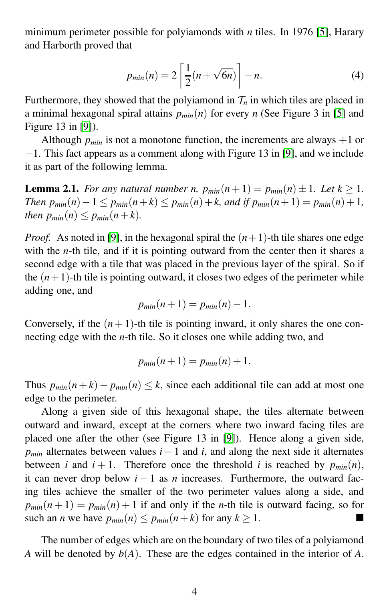minimum perimeter possible for polyiamonds with *n* tiles. In 1976 [\[5\]](#page-10-6), Harary and Harborth proved that

<span id="page-3-1"></span>
$$
p_{min}(n) = 2\left[\frac{1}{2}(n+\sqrt{6n})\right]-n.
$$
 (4)

Furthermore, they showed that the polyiamond in  $\mathcal{T}_n$  in which tiles are placed in a minimal hexagonal spiral attains *pmin*(*n*) for every *n* (See Figure 3 in [\[5\]](#page-10-6) and Figure 13 in [\[9\]](#page-10-7)).

Although  $p_{min}$  is not a monotone function, the increments are always  $+1$  or −1. This fact appears as a comment along with Figure 13 in [\[9\]](#page-10-7), and we include it as part of the following lemma.

<span id="page-3-0"></span>**Lemma 2.1.** *For any natural number n,*  $p_{min}(n+1) = p_{min}(n) \pm 1$ *. Let*  $k \geq 1$ *. Then*  $p_{min}(n) - 1 \leq p_{min}(n+k) \leq p_{min}(n) + k$ , and if  $p_{min}(n+1) = p_{min}(n) + 1$ , *then*  $p_{min}(n) \leq p_{min}(n+k)$ .

*Proof.* As noted in [\[9\]](#page-10-7), in the hexagonal spiral the  $(n+1)$ -th tile shares one edge with the *n*-th tile, and if it is pointing outward from the center then it shares a second edge with a tile that was placed in the previous layer of the spiral. So if the  $(n+1)$ -th tile is pointing outward, it closes two edges of the perimeter while adding one, and

$$
p_{min}(n+1)=p_{min}(n)-1.
$$

Conversely, if the  $(n + 1)$ -th tile is pointing inward, it only shares the one connecting edge with the *n*-th tile. So it closes one while adding two, and

$$
p_{min}(n+1) = p_{min}(n) + 1.
$$

Thus  $p_{min}(n + k) - p_{min}(n) \leq k$ , since each additional tile can add at most one edge to the perimeter.

Along a given side of this hexagonal shape, the tiles alternate between outward and inward, except at the corners where two inward facing tiles are placed one after the other (see Figure 13 in [\[9\]](#page-10-7)). Hence along a given side,  $p_{min}$  alternates between values  $i-1$  and  $i$ , and along the next side it alternates between *i* and  $i + 1$ . Therefore once the threshold *i* is reached by  $p_{min}(n)$ , it can never drop below  $i - 1$  as *n* increases. Furthermore, the outward facing tiles achieve the smaller of the two perimeter values along a side, and  $p_{min}(n+1) = p_{min}(n) + 1$  if and only if the *n*-th tile is outward facing, so for such an *n* we have  $p_{min}(n) \leq p_{min}(n+k)$  for any  $k \geq 1$ .

The number of edges which are on the boundary of two tiles of a polyiamond *A* will be denoted by *b*(*A*). These are the edges contained in the interior of *A*.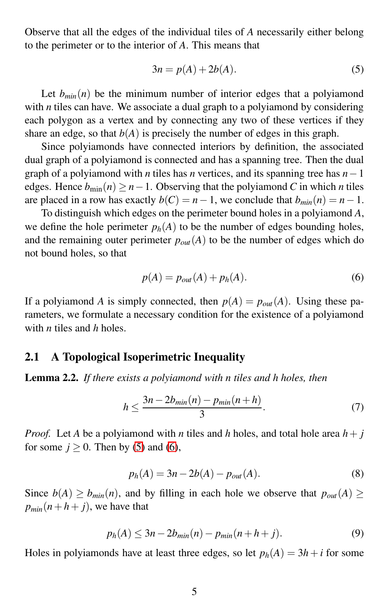Observe that all the edges of the individual tiles of *A* necessarily either belong to the perimeter or to the interior of *A*. This means that

<span id="page-4-0"></span>
$$
3n = p(A) + 2b(A). \tag{5}
$$

Let  $b_{min}(n)$  be the minimum number of interior edges that a polyiamond with *n* tiles can have. We associate a dual graph to a polyiamond by considering each polygon as a vertex and by connecting any two of these vertices if they share an edge, so that  $b(A)$  is precisely the number of edges in this graph.

Since polyiamonds have connected interiors by definition, the associated dual graph of a polyiamond is connected and has a spanning tree. Then the dual graph of a polyiamond with *n* tiles has *n* vertices, and its spanning tree has *n*−1 edges. Hence  $b_{\min}(n) > n-1$ . Observing that the polyiamond *C* in which *n* tiles are placed in a row has exactly  $b(C) = n - 1$ , we conclude that  $b_{min}(n) = n - 1$ .

To distinguish which edges on the perimeter bound holes in a polyiamond *A*, we define the hole perimeter  $p_h(A)$  to be the number of edges bounding holes, and the remaining outer perimeter  $p_{out}(A)$  to be the number of edges which do not bound holes, so that

<span id="page-4-1"></span>
$$
p(A) = p_{out}(A) + p_h(A). \tag{6}
$$

If a polyiamond *A* is simply connected, then  $p(A) = p_{out}(A)$ . Using these parameters, we formulate a necessary condition for the existence of a polyiamond with *n* tiles and *h* holes.

#### 2.1 A Topological Isoperimetric Inequality

Lemma 2.2. *If there exists a polyiamond with n tiles and h holes, then*

$$
h \le \frac{3n - 2b_{\min}(n) - p_{\min}(n+h)}{3}.
$$
 (7)

*Proof.* Let *A* be a polyiamond with *n* tiles and *h* holes, and total hole area  $h + j$ for some  $j \ge 0$ . Then by [\(5\)](#page-4-0) and [\(6\)](#page-4-1),

$$
p_h(A) = 3n - 2b(A) - p_{out}(A).
$$
 (8)

Since  $b(A) \ge b_{min}(n)$ , and by filling in each hole we observe that  $p_{out}(A) \ge$  $p_{min}(n+h+j)$ , we have that

$$
p_h(A) \le 3n - 2b_{min}(n) - p_{min}(n + h + j).
$$
 (9)

Holes in polyiamonds have at least three edges, so let  $p_h(A) = 3h + i$  for some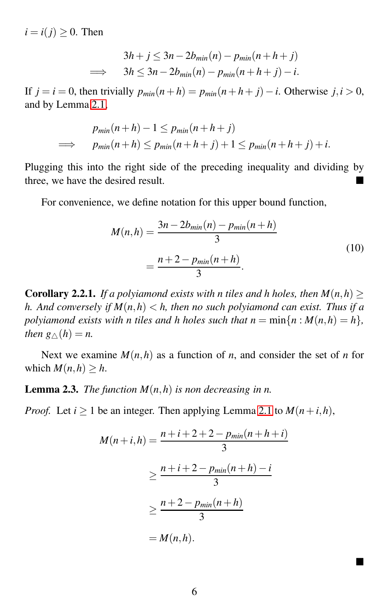$i = i(j) > 0$ . Then

$$
3h + j \le 3n - 2b_{min}(n) - p_{min}(n + h + j)
$$
  
\n
$$
\implies 3h \le 3n - 2b_{min}(n) - p_{min}(n + h + j) - i.
$$

If  $j = i = 0$ , then trivially  $p_{min}(n+h) = p_{min}(n+h+j) - i$ . Otherwise  $j, i > 0$ , and by Lemma [2.1,](#page-3-0)

$$
p_{min}(n+h) - 1 \le p_{min}(n+h+j)
$$
  
\n
$$
\implies p_{min}(n+h) \le p_{min}(n+h+j) + 1 \le p_{min}(n+h+j) + i.
$$

Plugging this into the right side of the preceding inequality and dividing by three, we have the desired result.

For convenience, we define notation for this upper bound function,

$$
M(n,h) = \frac{3n - 2b_{min}(n) - p_{min}(n+h)}{3}
$$
  
= 
$$
\frac{n + 2 - p_{min}(n+h)}{3}.
$$
 (10)

<span id="page-5-0"></span>**Corollary 2.2.1.** *If a polyiamond exists with n tiles and h holes, then*  $M(n,h)$  > *h. And conversely if M*(*n*,*h*) < *h, then no such polyiamond can exist. Thus if a polyiamond exists with n tiles and h holes such that*  $n = \min\{n : M(n,h) = h\}$ *, then*  $g(\wedge h) = n$ *.* 

Next we examine  $M(n, h)$  as a function of *n*, and consider the set of *n* for which  $M(n, h) \geq h$ .

#### **Lemma 2.3.** *The function*  $M(n,h)$  *is non decreasing in n.*

*Proof.* Let  $i \ge 1$  be an integer. Then applying Lemma [2.1](#page-3-0) to  $M(n+i, h)$ ,

$$
M(n+i, h) = \frac{n+i+2+2-p_{min}(n+h+i)}{3}
$$

$$
\geq \frac{n+i+2-p_{min}(n+h)-i}{3}
$$

$$
\geq \frac{n+2-p_{min}(n+h)}{3}
$$

$$
= M(n,h).
$$

 $\blacksquare$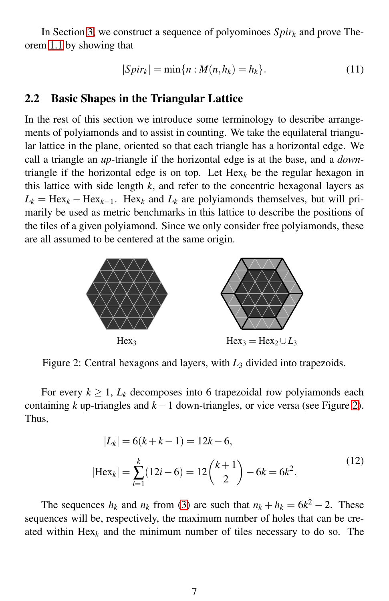In Section [3,](#page-7-0) we construct a sequence of polyominoes  $Spir_k$  and prove Theorem [1.1](#page-2-0) by showing that

$$
|Spir_k| = \min\{n : M(n,h_k) = h_k\}.
$$
\n(11)

#### 2.2 Basic Shapes in the Triangular Lattice

In the rest of this section we introduce some terminology to describe arrangements of polyiamonds and to assist in counting. We take the equilateral triangular lattice in the plane, oriented so that each triangle has a horizontal edge. We call a triangle an *up*-triangle if the horizontal edge is at the base, and a *down*triangle if the horizontal edge is on top. Let  $\text{Hex}_k$  be the regular hexagon in this lattice with side length  $k$ , and refer to the concentric hexagonal layers as  $L_k = \text{Hex}_k - \text{Hex}_{k-1}$ . Hex<sub>*k*</sub> and  $L_k$  are polyiamonds themselves, but will primarily be used as metric benchmarks in this lattice to describe the positions of the tiles of a given polyiamond. Since we only consider free polyiamonds, these are all assumed to be centered at the same origin.

<span id="page-6-0"></span>

Figure 2: Central hexagons and layers, with  $L_3$  divided into trapezoids.

For every  $k \geq 1$ ,  $L_k$  decomposes into 6 trapezoidal row polyiamonds each containing *k* up-triangles and *k*−1 down-triangles, or vice versa (see Figure [2\)](#page-6-0). Thus,

$$
|L_k| = 6(k + k - 1) = 12k - 6,
$$
  

$$
|Hex_k| = \sum_{i=1}^{k} (12i - 6) = 12{k + 1 \choose 2} - 6k = 6k^2.
$$
 (12)

<span id="page-6-1"></span>The sequences  $h_k$  and  $n_k$  from [\(3\)](#page-2-2) are such that  $n_k + h_k = 6k^2 - 2$ . These sequences will be, respectively, the maximum number of holes that can be created within  $Hex_k$  and the minimum number of tiles necessary to do so. The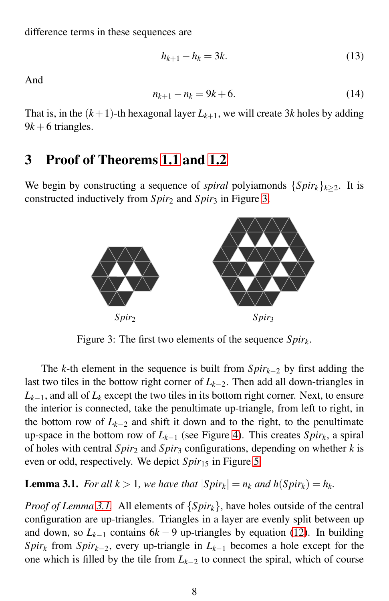difference terms in these sequences are

$$
h_{k+1} - h_k = 3k.\t\t(13)
$$

And

$$
n_{k+1} - n_k = 9k + 6. \tag{14}
$$

That is, in the  $(k+1)$ -th hexagonal layer  $L_{k+1}$ , we will create 3*k* holes by adding  $9k+6$  triangles.

### <span id="page-7-0"></span>3 Proof of Theorems [1.1](#page-2-0) and [1.2](#page-2-1)

<span id="page-7-1"></span>We begin by constructing a sequence of *spiral* polyiamonds  $\{Spir_k\}_{k\geq 2}$ . It is constructed inductively from *Spir*<sup>2</sup> and *Spir*<sup>3</sup> in Figure [3.](#page-7-1)



Figure 3: The first two elements of the sequence *Spirk*.

The *k*-th element in the sequence is built from *Spirk*−<sup>2</sup> by first adding the last two tiles in the bottow right corner of *Lk*−2. Then add all down-triangles in  $L_{k-1}$ , and all of  $L_k$  except the two tiles in its bottom right corner. Next, to ensure the interior is connected, take the penultimate up-triangle, from left to right, in the bottom row of  $L_{k-2}$  and shift it down and to the right, to the penultimate up-space in the bottom row of *Lk*−<sup>1</sup> (see Figure [4\)](#page-8-0). This creates *Spirk*, a spiral of holes with central *Spir*<sup>2</sup> and *Spir*<sup>3</sup> configurations, depending on whether *k* is even or odd, respectively. We depict *Spir*<sub>15</sub> in Figure [5.](#page-9-0)

<span id="page-7-2"></span>**Lemma 3.1.** *For all*  $k > 1$ *, we have that*  $|Spir_k| = n_k$  *and*  $h(Spir_k) = h_k$ *.* 

*Proof of Lemma [3.1.](#page-7-2)* All elements of {*Spirk*}, have holes outside of the central configuration are up-triangles. Triangles in a layer are evenly split between up and down, so  $L_{k-1}$  contains  $6k-9$  up-triangles by equation [\(12\)](#page-6-1). In building *Spir<sub>k</sub>* from *Spir<sub>k−2</sub>*, every up-triangle in  $L_{k-1}$  becomes a hole except for the one which is filled by the tile from *Lk*−<sup>2</sup> to connect the spiral, which of course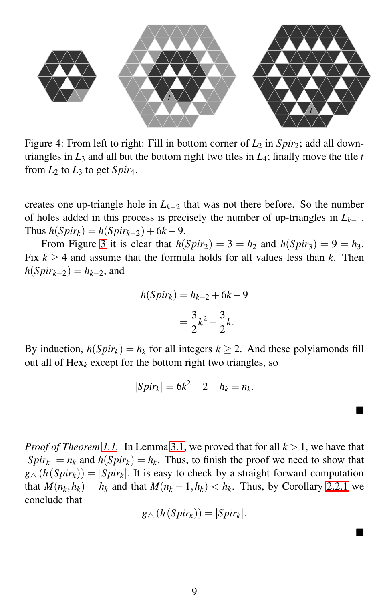<span id="page-8-0"></span>

Figure 4: From left to right: Fill in bottom corner of  $L_2$  in  $Spir_2$ ; add all downtriangles in  $L_3$  and all but the bottom right two tiles in  $L_4$ ; finally move the tile  $t$ from  $L_2$  to  $L_3$  to get  $Spir_4$ .

creates one up-triangle hole in  $L_{k-2}$  that was not there before. So the number of holes added in this process is precisely the number of up-triangles in *Lk*−1.  $\text{Thus } h(Spir_k) = h(Spir_{k-2}) + 6k - 9.$ 

From Figure [3](#page-7-1) it is clear that  $h(Spir_2) = 3 = h_2$  and  $h(Spir_3) = 9 = h_3$ . Fix  $k \geq 4$  and assume that the formula holds for all values less than *k*. Then  $h(Spir_{k-2}) = h_{k-2}$ , and

$$
h(Spir_k) = h_{k-2} + 6k - 9
$$
  
=  $\frac{3}{2}k^2 - \frac{3}{2}k$ .

By induction,  $h(Spir_k) = h_k$  for all integers  $k \ge 2$ . And these polyiamonds fill out all of  $Hex_k$  except for the bottom right two triangles, so

$$
|Spir_k| = 6k^2 - 2 - h_k = n_k.
$$

▅

Ë

*Proof of Theorem [1.1.](#page-2-0)* In Lemma [3.1,](#page-7-2) we proved that for all  $k > 1$ , we have that  $|Spir_k| = n_k$  and  $h(Spir_k) = h_k$ . Thus, to finish the proof we need to show that  $g_{\triangle}(h(Spir_k)) = |Spir_k|$ . It is easy to check by a straight forward computation that  $M(n_k, h_k) = h_k$  and that  $M(n_k - 1, h_k) < h_k$ . Thus, by Corollary [2.2.1](#page-5-0) we conclude that

$$
g_{\triangle}(h(Spir_k))=|Spir_k|.
$$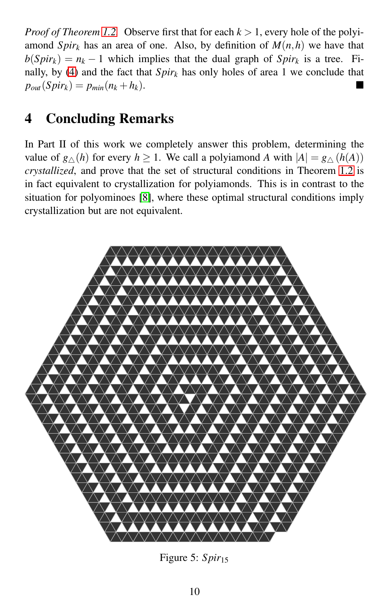*Proof of Theorem [1.2.](#page-2-1)* Observe first that for each  $k > 1$ , every hole of the polyiamond *Spir<sub>k</sub>* has an area of one. Also, by definition of  $M(n,h)$  we have that  $b(Spir_k) = n_k - 1$  which implies that the dual graph of  $Spir_k$  is a tree. Fi-nally, by [\(4\)](#page-3-1) and the fact that  $Spir_k$  has only holes of area 1 we conclude that  $p_{out}(Spir_k) = p_{min}(n_k + h_k).$ 

## 4 Concluding Remarks

In Part II of this work we completely answer this problem, determining the value of  $g \wedge (h)$  for every  $h \ge 1$ . We call a polyiamond *A* with  $|A| = g \wedge (h(A))$ *crystallized*, and prove that the set of structural conditions in Theorem [1.2](#page-2-1) is in fact equivalent to crystallization for polyiamonds. This is in contrast to the situation for polyominoes [\[8\]](#page-10-8), where these optimal structural conditions imply crystallization but are not equivalent.

<span id="page-9-0"></span>

Figure 5: Spir<sub>15</sub>